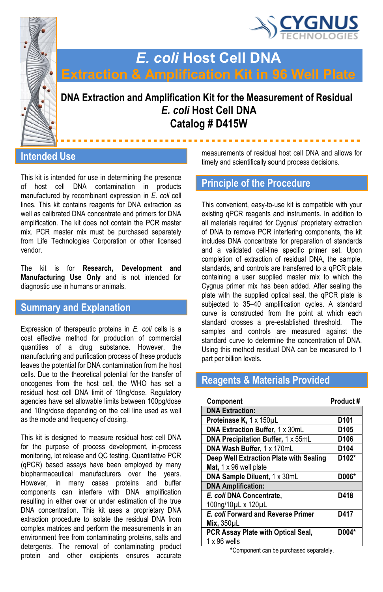



# *E. coli* **Host Cell DNA**

# **DNA Extraction and Amplification Kit for the Measurement of Residual** *E. coli* **Host Cell DNA Catalog # D415W**

#### **Intended Use**

This kit is intended for use in determining the presence of host cell DNA contamination in products manufactured by recombinant expression in *E. coli* cell lines. This kit contains reagents for DNA extraction as well as calibrated DNA concentrate and primers for DNA amplification. The kit does not contain the PCR master mix. PCR master mix must be purchased separately from Life Technologies Corporation or other licensed vendor.

The kit is for **Research, Development and Manufacturing Use Only** and is not intended for diagnostic use in humans or animals.

#### **Summary and Explanation**

Expression of therapeutic proteins in *E. coli* cells is a cost effective method for production of commercial quantities of a drug substance. However, the manufacturing and purification process of these products leaves the potential for DNA contamination from the host cells. Due to the theoretical potential for the transfer of oncogenes from the host cell, the WHO has set a residual host cell DNA limit of 10ng/dose. Regulatory agencies have set allowable limits between 100pg/dose and 10ng/dose depending on the cell line used as well as the mode and frequency of dosing.

This kit is designed to measure residual host cell DNA for the purpose of process development, in-process monitoring, lot release and QC testing. Quantitative PCR (qPCR) based assays have been employed by many biopharmaceutical manufacturers over the years. However, in many cases proteins and buffer components can interfere with DNA amplification resulting in either over or under estimation of the true DNA concentration. This kit uses a proprietary DNA extraction procedure to isolate the residual DNA from complex matrices and perform the measurements in an environment free from contaminating proteins, salts and detergents. The removal of contaminating product protein and other excipients ensures accurate

measurements of residual host cell DNA and allows for timely and scientifically sound process decisions.

#### **Principle of the Procedure**

This convenient, easy-to-use kit is compatible with your existing qPCR reagents and instruments. In addition to all materials required for Cygnus' proprietary extraction of DNA to remove PCR interfering components, the kit includes DNA concentrate for preparation of standards and a validated cell-line specific primer set. Upon completion of extraction of residual DNA, the sample, standards, and controls are transferred to a qPCR plate containing a user supplied master mix to which the Cygnus primer mix has been added. After sealing the plate with the supplied optical seal, the qPCR plate is subjected to 35–40 amplification cycles. A standard curve is constructed from the point at which each standard crosses a pre-established threshold. The samples and controls are measured against the standard curve to determine the concentration of DNA. Using this method residual DNA can be measured to 1 part per billion levels.

## **Reagents & Materials Provided**

| Component                               | Product#         |
|-----------------------------------------|------------------|
| <b>DNA Extraction:</b>                  |                  |
| Proteinase K, 1 x 150µL                 | D <sub>101</sub> |
| DNA Extraction Buffer, 1 x 30mL         | D <sub>105</sub> |
| DNA Precipitation Buffer, 1 x 55mL      | D <sub>106</sub> |
| DNA Wash Buffer, 1 x 170mL              | D104             |
| Deep Well Extraction Plate with Sealing | D102*            |
| Mat, $1 \times 96$ well plate           |                  |
| DNA Sample Diluent, 1 x 30mL            | D006*            |
| <b>DNA Amplification:</b>               |                  |
| E. coli DNA Concentrate.                | D418             |
| 100ng/10µL x 120µL                      |                  |
| E. coli Forward and Reverse Primer      | D417             |
| Mix, 350pL                              |                  |
| PCR Assay Plate with Optical Seal,      | D004*            |
| $1 \times 96$ wells                     |                  |

**\***Component can be purchased separately.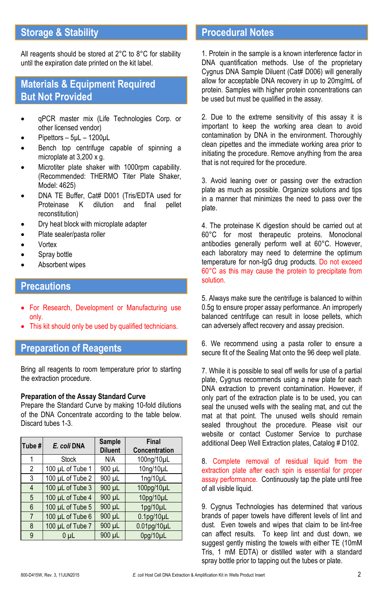# **Storage & Stability**

All reagents should be stored at 2°C to 8°C for stability until the expiration date printed on the kit label.

#### **Materials & Equipment Required But Not Provided**

- qPCR master mix (Life Technologies Corp. or other licensed vendor)
- Pipettors 5μL 1200μL
- Bench top centrifuge capable of spinning a microplate at 3,200 x g.
- Microtiter plate shaker with 1000rpm capability. (Recommended: THERMO Titer Plate Shaker, Model: 4625)
- DNA TE Buffer, Cat# D001 (Tris/EDTA used for Proteinase K dilution and final pellet reconstitution)
- Dry heat block with microplate adapter
- Plate sealer/pasta roller
- Vortex
- Spray bottle
- Absorbent wipes

#### **Precautions**

- For Research, Development or Manufacturing use only.
- This kit should only be used by qualified technicians.

## **Preparation of Reagents**

Bring all reagents to room temperature prior to starting the extraction procedure.

#### **Preparation of the Assay Standard Curve**

Prepare the Standard Curve by making 10-fold dilutions of the DNA Concentrate according to the table below. Discard tubes 1-3.

| Tube #         | E. coli DNA      | Sample<br><b>Diluent</b> | <b>Final</b><br>Concentration |
|----------------|------------------|--------------------------|-------------------------------|
|                | <b>Stock</b>     | N/A                      | 100ng/10µL                    |
| $\overline{2}$ | 100 µL of Tube 1 | 900 µL                   | 10ng/10µL                     |
| 3              | 100 µL of Tube 2 | 900 µL                   | $1$ ng/ $10$ µL               |
| $\overline{4}$ | 100 µL of Tube 3 | 900 µL                   | 100pg/10µL                    |
| 5              | 100 µL of Tube 4 | 900 µL                   | 10pg/10µL                     |
| 6              | 100 µL of Tube 5 | 900 µL                   | 1pg/10µL                      |
| $\overline{7}$ | 100 µL of Tube 6 | 900 µL                   | $0.1$ pg/ $10$ µL             |
| 8              | 100 µL of Tube 7 | 900 µL                   | $0.01$ pq/10 $\mu$ L          |
| 9              | 0 <sub>µ</sub>   | 900 µL                   | 0pq/10µL                      |

#### **Procedural Notes**

1. Protein in the sample is a known interference factor in DNA quantification methods. Use of the proprietary Cygnus DNA Sample Diluent (Cat# D006) will generally allow for acceptable DNA recovery in up to 20mg/mL of protein. Samples with higher protein concentrations can be used but must be qualified in the assay.

2. Due to the extreme sensitivity of this assay it is important to keep the working area clean to avoid contamination by DNA in the environment. Thoroughly clean pipettes and the immediate working area prior to initiating the procedure. Remove anything from the area that is not required for the procedure.

3. Avoid leaning over or passing over the extraction plate as much as possible. Organize solutions and tips in a manner that minimizes the need to pass over the plate.

4. The proteinase K digestion should be carried out at 60°C for most therapeutic proteins. Monoclonal antibodies generally perform well at 60°C. However, each laboratory may need to determine the optimum temperature for non-IgG drug products. Do not exceed 60°C as this may cause the protein to precipitate from solution.

5. Always make sure the centrifuge is balanced to within 0.5g to ensure proper assay performance. An improperly balanced centrifuge can result in loose pellets, which can adversely affect recovery and assay precision.

6. We recommend using a pasta roller to ensure a secure fit of the Sealing Mat onto the 96 deep well plate.

7. While it is possible to seal off wells for use of a partial plate, Cygnus recommends using a new plate for each DNA extraction to prevent contamination. However, if only part of the extraction plate is to be used, you can seal the unused wells with the sealing mat, and cut the mat at that point. The unused wells should remain sealed throughout the procedure. Please visit our website or contact Customer Service to purchase additional Deep Well Extraction plates, Catalog # D102.

8. Complete removal of residual liquid from the extraction plate after each spin is essential for proper assay performance. Continuously tap the plate until free of all visible liquid.

9. Cygnus Technologies has determined that various brands of paper towels have different levels of lint and dust. Even towels and wipes that claim to be lint-free can affect results. To keep lint and dust down, we suggest gently misting the towels with either TE (10mM Tris, 1 mM EDTA) or distilled water with a standard spray bottle prior to tapping out the tubes or plate.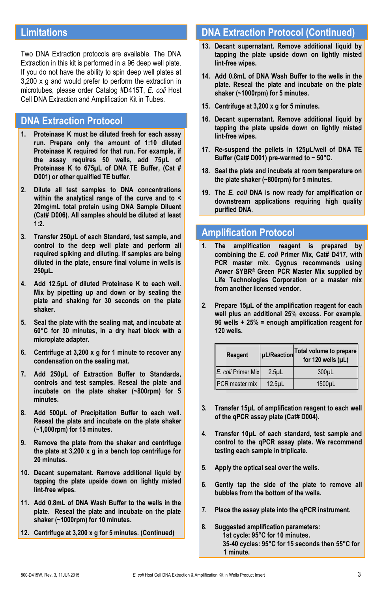#### **Limitations**

Two DNA Extraction protocols are available. The DNA Extraction in this kit is performed in a 96 deep well plate. If you do not have the ability to spin deep well plates at 3,200 x g and would prefer to perform the extraction in microtubes, please order Catalog #D415T, *E. coli* Host Cell DNA Extraction and Amplification Kit in Tubes.

#### **DNA Extraction Protocol**

- **1. Proteinase K must be diluted fresh for each assay run. Prepare only the amount of 1:10 diluted Proteinase K required for that run. For example, if the assay requires 50 wells, add 75µL of Proteinase K to 675µL of DNA TE Buffer, (Cat # D001) or other qualified TE buffer.**
- **2. Dilute all test samples to DNA concentrations within the analytical range of the curve and to < 20mg/mL total protein using DNA Sample Diluent (Cat# D006). All samples should be diluted at least 1:2.**
- **3. Transfer 250µL of each Standard, test sample, and control to the deep well plate and perform all required spiking and diluting. If samples are being diluted in the plate, ensure final volume in wells is 250µL.**
- **4. Add 12.5µL of diluted Proteinase K to each well. Mix by pipetting up and down or by sealing the plate and shaking for 30 seconds on the plate shaker.**
- **5. Seal the plate with the sealing mat, and incubate at 60°C for 30 minutes, in a dry heat block with a microplate adapter.**
- **6. Centrifuge at 3,200 x g for 1 minute to recover any condensation on the sealing mat.**
- **7. Add 250µL of Extraction Buffer to Standards, controls and test samples. Reseal the plate and incubate on the plate shaker (~800rpm) for 5 minutes.**
- **8. Add 500µL of Precipitation Buffer to each well. Reseal the plate and incubate on the plate shaker (~1,000rpm) for 15 minutes.**
- **9. Remove the plate from the shaker and centrifuge the plate at 3,200 x g in a bench top centrifuge for 20 minutes.**
- **10. Decant supernatant. Remove additional liquid by tapping the plate upside down on lightly misted lint-free wipes.**
- **11. Add 0.8mL of DNA Wash Buffer to the wells in the plate. Reseal the plate and incubate on the plate shaker (~1000rpm) for 10 minutes.**
- **12. Centrifuge at 3,200 x g for 5 minutes. (Continued)**

#### **DNA Extraction Protocol (Continued)**

- **13. Decant supernatant. Remove additional liquid by tapping the plate upside down on lightly misted lint-free wipes.**
- **14. Add 0.8mL of DNA Wash Buffer to the wells in the plate. Reseal the plate and incubate on the plate shaker (~1000rpm) for 5 minutes.**
- **15. Centrifuge at 3,200 x g for 5 minutes.**
- **16. Decant supernatant. Remove additional liquid by tapping the plate upside down on lightly misted lint-free wipes.**
- **17. Re-suspend the pellets in 125µL/well of DNA TE Buffer (Cat# D001) pre-warmed to ~ 50°C.**
- **18. Seal the plate and incubate at room temperature on the plate shaker (~800rpm) for 5 minutes.**
- **19. The** *E. coli* **DNA is now ready for amplification or downstream applications requiring high quality purified DNA.**

#### **Amplification Protocol**

- **1. The amplification reagent is prepared by combining the** *E. coli* **Primer Mix, Cat# D417, with PCR master mix. Cygnus recommends using**  *Power* **SYBR® Green PCR Master Mix supplied by Life Technologies Corporation or a master mix from another licensed vendor.**
- **2. Prepare 15µL of the amplification reagent for each well plus an additional 25% excess. For example, 96 wells + 25% = enough amplification reagent for 120 wells.**

| Reagent               |                  | µL/Reaction Total volume to prepare<br>for 120 wells (µL) |  |
|-----------------------|------------------|-----------------------------------------------------------|--|
| E. coli Primer Mix    | 2.5 <sub>µ</sub> | 300 <sub>µ</sub>                                          |  |
| <b>PCR</b> master mix | $12.5$ µL        | 1500 <sub>µ</sub> L                                       |  |

- **3. Transfer 15µL of amplification reagent to each well of the qPCR assay plate (Cat# D004).**
- **4. Transfer 10µL of each standard, test sample and control to the qPCR assay plate. We recommend testing each sample in triplicate.**
- **5. Apply the optical seal over the wells.**
- **6. Gently tap the side of the plate to remove all bubbles from the bottom of the wells.**
- **7. Place the assay plate into the qPCR instrument.**
- **8. Suggested amplification parameters: 1st cycle: 95°C for 10 minutes. 35-40 cycles: 95°C for 15 seconds then 55°C for 1 minute.**